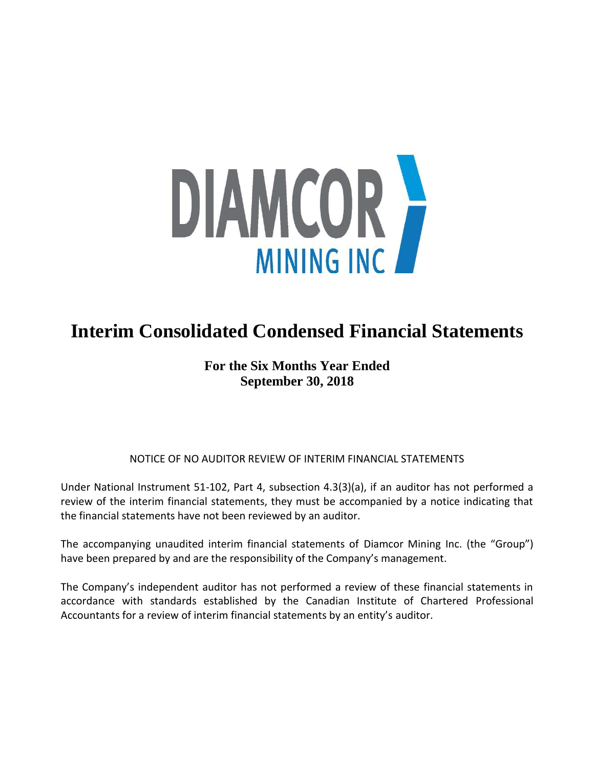

# **Interim Consolidated Condensed Financial Statements**

# **For the Six Months Year Ended September 30, 2018**

# NOTICE OF NO AUDITOR REVIEW OF INTERIM FINANCIAL STATEMENTS

Under National Instrument 51-102, Part 4, subsection 4.3(3)(a), if an auditor has not performed a review of the interim financial statements, they must be accompanied by a notice indicating that the financial statements have not been reviewed by an auditor.

The accompanying unaudited interim financial statements of Diamcor Mining Inc. (the "Group") have been prepared by and are the responsibility of the Company's management.

The Company's independent auditor has not performed a review of these financial statements in accordance with standards established by the Canadian Institute of Chartered Professional Accountants for a review of interim financial statements by an entity's auditor.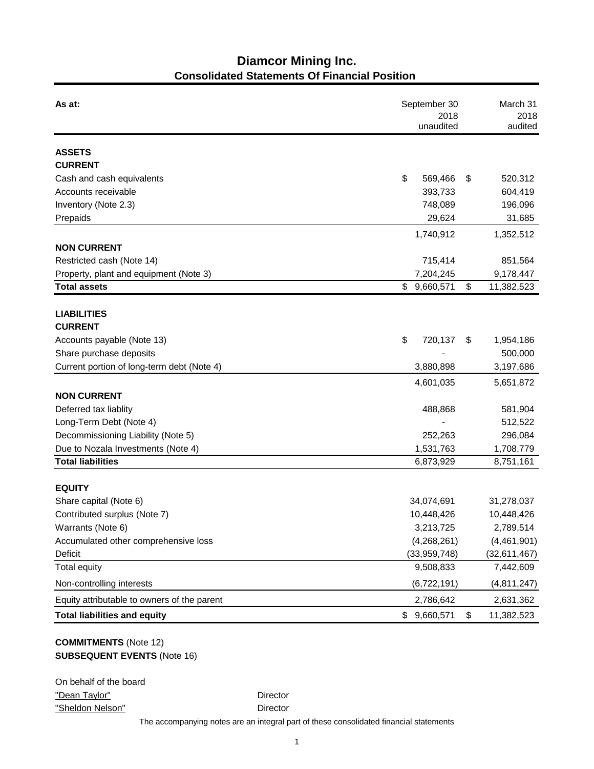# **Diamcor Mining Inc. Consolidated Statements Of Financial Position**

| As at:                                      | September 30<br>2018<br>unaudited | March 31<br>2018<br>audited |  |
|---------------------------------------------|-----------------------------------|-----------------------------|--|
| <b>ASSETS</b>                               |                                   |                             |  |
| <b>CURRENT</b>                              |                                   |                             |  |
| Cash and cash equivalents                   | \$<br>569,466                     | \$<br>520,312               |  |
| Accounts receivable                         | 393,733                           | 604,419                     |  |
| Inventory (Note 2.3)                        | 748,089                           | 196,096                     |  |
| Prepaids                                    | 29,624                            | 31,685                      |  |
|                                             | 1,740,912                         | 1,352,512                   |  |
| <b>NON CURRENT</b>                          |                                   |                             |  |
| Restricted cash (Note 14)                   | 715,414                           | 851,564                     |  |
| Property, plant and equipment (Note 3)      | 7,204,245                         | 9,178,447                   |  |
| <b>Total assets</b>                         | \$9,660,571                       | \$<br>11,382,523            |  |
|                                             |                                   |                             |  |
| <b>LIABILITIES</b>                          |                                   |                             |  |
| <b>CURRENT</b>                              |                                   |                             |  |
| Accounts payable (Note 13)                  | \$<br>720,137                     | \$<br>1,954,186             |  |
| Share purchase deposits                     |                                   | 500,000                     |  |
| Current portion of long-term debt (Note 4)  | 3,880,898                         | 3,197,686                   |  |
|                                             | 4,601,035                         | 5,651,872                   |  |
| <b>NON CURRENT</b>                          |                                   |                             |  |
| Deferred tax liablity                       | 488,868                           | 581,904                     |  |
| Long-Term Debt (Note 4)                     |                                   | 512,522                     |  |
| Decommissioning Liability (Note 5)          | 252,263                           | 296,084                     |  |
| Due to Nozala Investments (Note 4)          | 1,531,763                         | 1,708,779                   |  |
| <b>Total liabilities</b>                    | 6,873,929                         | 8,751,161                   |  |
| <b>EQUITY</b>                               |                                   |                             |  |
| Share capital (Note 6)                      | 34,074,691                        | 31,278,037                  |  |
| Contributed surplus (Note 7)                | 10,448,426                        | 10,448,426                  |  |
| Warrants (Note 6)                           | 3,213,725                         | 2,789,514                   |  |
| Accumulated other comprehensive loss        | (4,268,261)                       | (4,461,901)                 |  |
| Deficit                                     | (33,959,748)                      | (32, 611, 467)              |  |
| <b>Total equity</b>                         | 9,508,833                         | 7,442,609                   |  |
| Non-controlling interests                   | (6,722,191)                       | (4,811,247)                 |  |
| Equity attributable to owners of the parent | 2,786,642                         | 2,631,362                   |  |
| <b>Total liabilities and equity</b>         | \$9,660,571                       | \$<br>11,382,523            |  |

# **COMMITMENTS** (Note 12) **SUBSEQUENT EVENTS** (Note 16)

| On behalf of the board |  |
|------------------------|--|
| "Dean Taylor"          |  |
| "Sheldon Nelson"       |  |

Director

Director

The accompanying notes are an integral part of these consolidated financial statements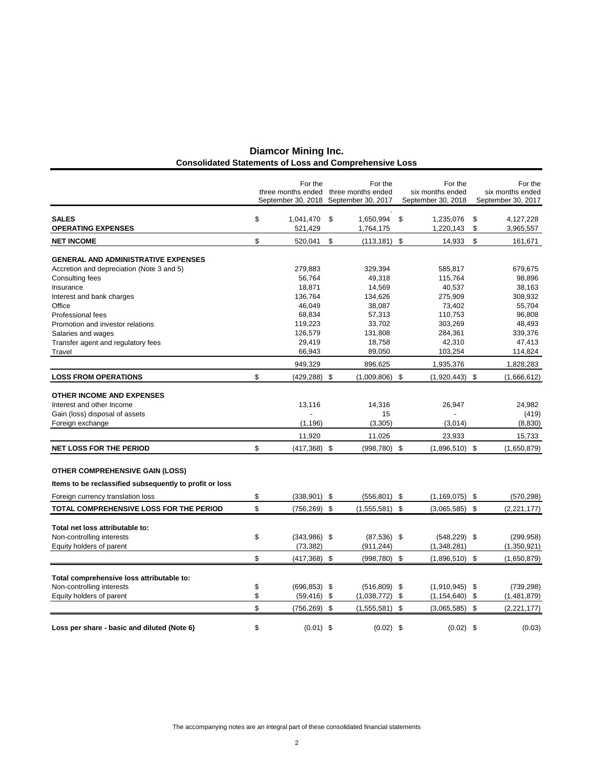| <b>Diamcor Mining Inc.</b>                                    |
|---------------------------------------------------------------|
| <b>Consolidated Statements of Loss and Comprehensive Loss</b> |

|                                                         | For the               |     | For the                               |     | For the            | For the            |
|---------------------------------------------------------|-----------------------|-----|---------------------------------------|-----|--------------------|--------------------|
|                                                         |                       |     | three months ended three months ended |     | six months ended   | six months ended   |
|                                                         |                       |     | September 30, 2018 September 30, 2017 |     | September 30, 2018 | September 30, 2017 |
| <b>SALES</b>                                            | \$<br>1,041,470       | \$  | 1,650,994                             | \$  | 1,235,076          | \$<br>4,127,228    |
| <b>OPERATING EXPENSES</b>                               | 521,429               |     | 1,764,175                             |     | 1,220,143          | \$<br>3,965,557    |
| <b>NET INCOME</b>                                       | \$<br>520,041         | \$  | $(113, 181)$ \$                       |     | 14,933             | \$<br>161,671      |
| <b>GENERAL AND ADMINISTRATIVE EXPENSES</b>              |                       |     |                                       |     |                    |                    |
| Accretion and depreciation (Note 3 and 5)               | 279,883               |     | 329,394                               |     | 585,817            | 679,675            |
| Consulting fees                                         | 56,764                |     | 49,318                                |     | 115,764            | 98,896             |
| Insurance                                               | 18,871                |     | 14,569                                |     | 40,537             | 38,163             |
| Interest and bank charges                               | 136,764               |     | 134,626                               |     | 275,909            | 308,932            |
| Office                                                  | 46,049                |     | 38,087                                |     | 73,402             | 55,704             |
| Professional fees                                       | 68,834                |     | 57,313                                |     | 110,753            | 96,808             |
| Promotion and investor relations                        | 119,223               |     | 33,702                                |     | 303,269            | 48,493             |
| Salaries and wages                                      | 126,579               |     | 131,808                               |     | 284,361            | 339,376            |
| Transfer agent and regulatory fees                      | 29,419                |     | 18,758                                |     | 42,310             | 47,413             |
| Travel                                                  | 66,943                |     | 89,050                                |     | 103,254            | 114,824            |
|                                                         | 949,329               |     | 896,625                               |     | 1,935,376          | 1,828,283          |
| <b>LOSS FROM OPERATIONS</b>                             | \$<br>$(429, 288)$ \$ |     | (1,009,806)                           | \$  | $(1,920,443)$ \$   | (1,666,612)        |
| OTHER INCOME AND EXPENSES                               |                       |     |                                       |     |                    |                    |
| Interest and other Income                               | 13,116                |     | 14,316                                |     | 26,947             | 24,982             |
| Gain (loss) disposal of assets                          |                       |     | 15                                    |     |                    | (419)              |
| Foreign exchange                                        | (1, 196)              |     | (3,305)                               |     | (3,014)            | (8,830)            |
|                                                         | 11,920                |     | 11,026                                |     | 23,933             | 15,733             |
| <b>NET LOSS FOR THE PERIOD</b>                          | \$<br>$(417,368)$ \$  |     | (998, 780)                            | \$  | $(1,896,510)$ \$   | (1,650,879)        |
|                                                         |                       |     |                                       |     |                    |                    |
| <b>OTHER COMPREHENSIVE GAIN (LOSS)</b>                  |                       |     |                                       |     |                    |                    |
| Items to be reclassified subsequently to profit or loss |                       |     |                                       |     |                    |                    |
| Foreign currency translation loss                       | \$<br>$(338,901)$ \$  |     | (556, 801)                            | -\$ | (1, 169, 075)      | \$<br>(570, 298)   |
| TOTAL COMPREHENSIVE LOSS FOR THE PERIOD                 | \$<br>$(756, 269)$ \$ |     | $(1,555,581)$ \$                      |     | (3,065,585)        | \$<br>(2,221,177)  |
| Total net loss attributable to:                         |                       |     |                                       |     |                    |                    |
| Non-controlling interests                               | \$<br>$(343,986)$ \$  |     | $(87,536)$ \$                         |     | $(548, 229)$ \$    | (299, 958)         |
| Equity holders of parent                                | (73, 382)             |     | (911, 244)                            |     | (1,348,281)        | (1,350,921)        |
|                                                         | \$<br>$(417, 368)$ \$ |     | (998, 780)                            | \$  | $(1,896,510)$ \$   | (1,650,879)        |
|                                                         |                       |     |                                       |     |                    |                    |
| Total comprehensive loss attributable to:               |                       |     |                                       |     |                    |                    |
| Non-controlling interests                               | \$<br>$(696, 853)$ \$ |     | $(516, 809)$ \$                       |     | $(1,910,945)$ \$   | (739, 298)         |
| Equity holders of parent                                | \$<br>(59, 416)       | \$  | (1,038,772)                           | \$  | (1, 154, 640)      | \$<br>(1,481,879)  |
|                                                         | \$<br>(756, 269)      | -\$ | (1,555,581)                           | \$  | (3,065,585)        | \$<br>(2,221,177)  |
| Loss per share - basic and diluted (Note 6)             | \$<br>$(0.01)$ \$     |     | $(0.02)$ \$                           |     | $(0.02)$ \$        | (0.03)             |
|                                                         |                       |     |                                       |     |                    |                    |

The accompanying notes are an integral part of these consolidated financial statements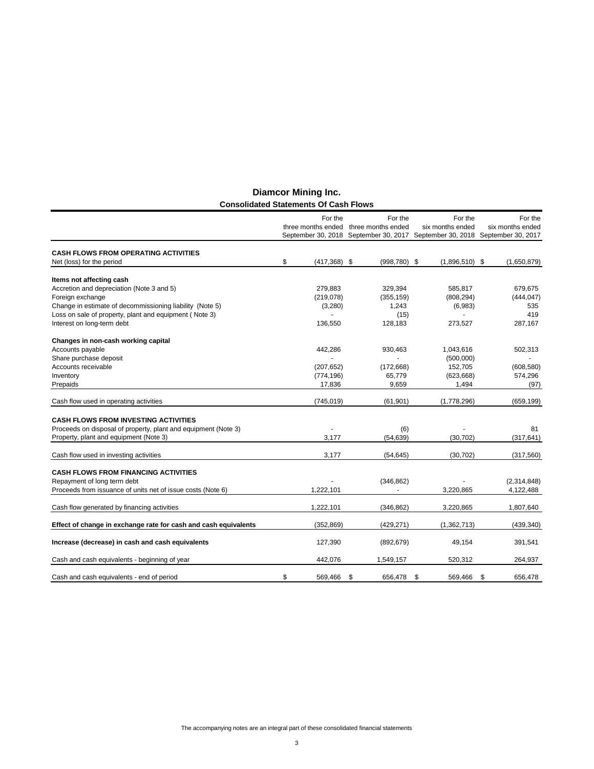|                                                                 | For the               | For the            | For the                                                                     | For the          |
|-----------------------------------------------------------------|-----------------------|--------------------|-----------------------------------------------------------------------------|------------------|
|                                                                 | three months ended    | three months ended | six months ended                                                            | six months ended |
|                                                                 |                       |                    | September 30, 2018 September 30, 2017 September 30, 2018 September 30, 2017 |                  |
|                                                                 |                       |                    |                                                                             |                  |
| <b>CASH FLOWS FROM OPERATING ACTIVITIES</b>                     |                       |                    |                                                                             |                  |
| Net (loss) for the period                                       | \$<br>$(417, 368)$ \$ | $(998, 780)$ \$    | $(1,896,510)$ \$                                                            | (1,650,879)      |
| Items not affecting cash                                        |                       |                    |                                                                             |                  |
| Accretion and depreciation (Note 3 and 5)                       | 279,883               | 329,394            | 585.817                                                                     | 679,675          |
| Foreign exchange                                                | (219, 078)            | (355, 159)         | (808, 294)                                                                  | (444, 047)       |
| Change in estimate of decommissioning liability (Note 5)        | (3,280)               | 1,243              | (6,983)                                                                     | 535              |
| Loss on sale of property, plant and equipment (Note 3)          |                       | (15)               | $\blacksquare$                                                              | 419              |
| Interest on long-term debt                                      | 136,550               | 128,183            | 273,527                                                                     | 287,167          |
| Changes in non-cash working capital                             |                       |                    |                                                                             |                  |
| Accounts payable                                                | 442,286               | 930,463            | 1,043,616                                                                   | 502,313          |
| Share purchase deposit                                          |                       |                    | (500,000)                                                                   |                  |
| Accounts receivable                                             | (207, 652)            | (172, 668)         | 152,705                                                                     | (608, 580)       |
| Inventory                                                       | (774, 196)            | 65,779             | (623, 668)                                                                  | 574,296          |
| Prepaids                                                        | 17,836                | 9,659              | 1,494                                                                       | (97)             |
|                                                                 |                       |                    |                                                                             |                  |
| Cash flow used in operating activities                          | (745, 019)            | (61, 901)          | (1,778,296)                                                                 | (659, 199)       |
| <b>CASH FLOWS FROM INVESTING ACTIVITIES</b>                     |                       |                    |                                                                             |                  |
| Proceeds on disposal of property, plant and equipment (Note 3)  |                       | (6)                |                                                                             | 81               |
| Property, plant and equipment (Note 3)                          | 3,177                 | (54, 639)          | (30, 702)                                                                   | (317, 641)       |
| Cash flow used in investing activities                          | 3,177                 | (54, 645)          | (30, 702)                                                                   | (317,560)        |
|                                                                 |                       |                    |                                                                             |                  |
| <b>CASH FLOWS FROM FINANCING ACTIVITIES</b>                     |                       |                    |                                                                             |                  |
| Repayment of long term debt                                     |                       | (346, 862)         |                                                                             | (2,314,848)      |
| Proceeds from issuance of units net of issue costs (Note 6)     | 1,222,101             |                    | 3,220,865                                                                   | 4,122,488        |
| Cash flow generated by financing activities                     | 1,222,101             | (346, 862)         | 3,220,865                                                                   | 1,807,640        |
|                                                                 |                       |                    |                                                                             |                  |
| Effect of change in exchange rate for cash and cash equivalents | (352, 869)            | (429, 271)         | (1,362,713)                                                                 | (439, 340)       |
| Increase (decrease) in cash and cash equivalents                | 127,390               | (892, 679)         | 49,154                                                                      | 391,541          |
| Cash and cash equivalents - beginning of year                   | 442.076               | 1,549,157          | 520,312                                                                     | 264,937          |
|                                                                 |                       |                    |                                                                             |                  |
| Cash and cash equivalents - end of period                       | \$<br>569,466         | \$<br>656,478      | \$<br>569,466                                                               | \$<br>656,478    |

# **Diamcor Mining Inc. Consolidated Statements Of Cash Flows**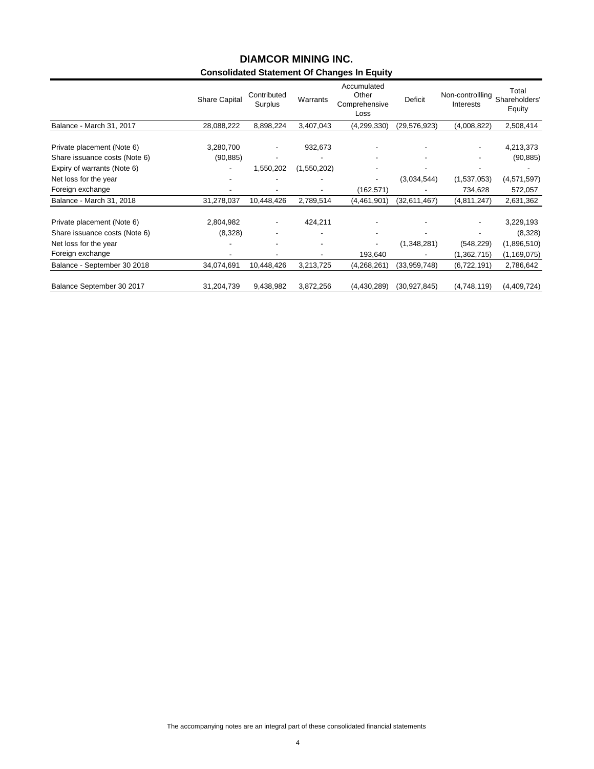# **Consolidated Statement Of Changes In Equity DIAMCOR MINING INC.**

|                               | <b>Share Capital</b> | Contributed<br>Surplus | Warrants    | Accumulated<br>Other<br>Comprehensive<br>Loss | <b>Deficit</b> | Non-controllling<br>Interests | Total<br>Shareholders'<br>Equity |
|-------------------------------|----------------------|------------------------|-------------|-----------------------------------------------|----------------|-------------------------------|----------------------------------|
| Balance - March 31, 2017      | 28,088,222           | 8,898,224              | 3,407,043   | (4, 299, 330)                                 | (29,576,923)   | (4,008,822)                   | 2,508,414                        |
| Private placement (Note 6)    | 3,280,700            |                        | 932,673     |                                               |                |                               | 4,213,373                        |
| Share issuance costs (Note 6) | (90, 885)            |                        |             |                                               |                |                               | (90, 885)                        |
| Expiry of warrants (Note 6)   |                      | 1,550,202              | (1,550,202) |                                               |                |                               |                                  |
| Net loss for the year         |                      |                        |             | -                                             | (3,034,544)    | (1,537,053)                   | (4,571,597)                      |
| Foreign exchange              |                      |                        |             | (162, 571)                                    |                | 734,628                       | 572,057                          |
| Balance - March 31, 2018      | 31,278,037           | 10,448,426             | 2,789,514   | (4,461,901)                                   | (32,611,467)   | (4,811,247)                   | 2,631,362                        |
| Private placement (Note 6)    | 2,804,982            |                        | 424,211     |                                               |                |                               | 3,229,193                        |
| Share issuance costs (Note 6) | (8,328)              |                        |             |                                               |                |                               | (8,328)                          |
| Net loss for the year         |                      |                        |             |                                               | (1,348,281)    | (548, 229)                    | (1,896,510)                      |
| Foreign exchange              |                      |                        |             | 193,640                                       |                | (1,362,715)                   | (1, 169, 075)                    |
| Balance - September 30 2018   | 34,074,691           | 10,448,426             | 3,213,725   | (4,268,261)                                   | (33,959,748)   | (6,722,191)                   | 2,786,642                        |
| Balance September 30 2017     | 31,204,739           | 9,438,982              | 3,872,256   | (4, 430, 289)                                 | (30, 927, 845) | (4,748,119)                   | (4,409,724)                      |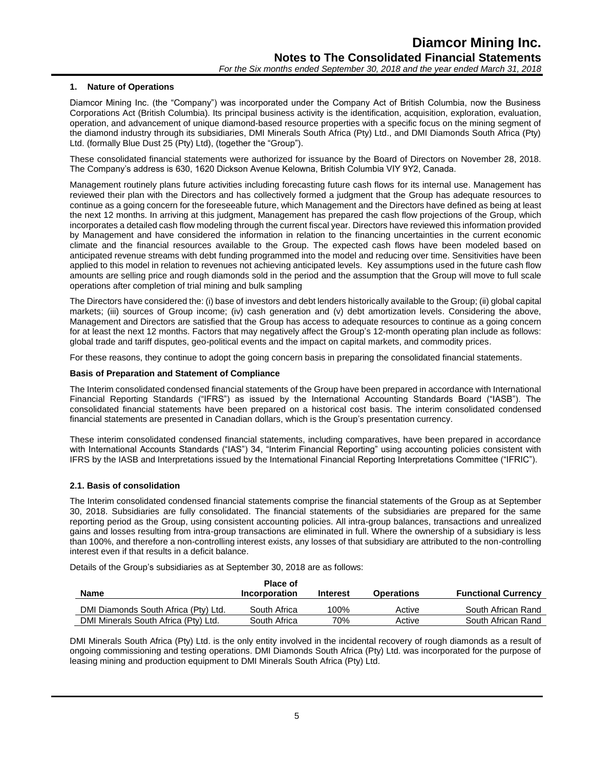# **1. Nature of Operations**

Diamcor Mining Inc. (the "Company") was incorporated under the Company Act of British Columbia, now the Business Corporations Act (British Columbia). Its principal business activity is the identification, acquisition, exploration, evaluation, operation, and advancement of unique diamond-based resource properties with a specific focus on the mining segment of the diamond industry through its subsidiaries, DMI Minerals South Africa (Pty) Ltd., and DMI Diamonds South Africa (Pty) Ltd. (formally Blue Dust 25 (Pty) Ltd), (together the "Group").

These consolidated financial statements were authorized for issuance by the Board of Directors on November 28, 2018. The Company's address is 630, 1620 Dickson Avenue Kelowna, British Columbia VIY 9Y2, Canada.

Management routinely plans future activities including forecasting future cash flows for its internal use. Management has reviewed their plan with the Directors and has collectively formed a judgment that the Group has adequate resources to continue as a going concern for the foreseeable future, which Management and the Directors have defined as being at least the next 12 months. In arriving at this judgment, Management has prepared the cash flow projections of the Group, which incorporates a detailed cash flow modeling through the current fiscal year. Directors have reviewed this information provided by Management and have considered the information in relation to the financing uncertainties in the current economic climate and the financial resources available to the Group. The expected cash flows have been modeled based on anticipated revenue streams with debt funding programmed into the model and reducing over time. Sensitivities have been applied to this model in relation to revenues not achieving anticipated levels. Key assumptions used in the future cash flow amounts are selling price and rough diamonds sold in the period and the assumption that the Group will move to full scale operations after completion of trial mining and bulk sampling

The Directors have considered the: (i) base of investors and debt lenders historically available to the Group; (ii) global capital markets; (iii) sources of Group income; (iv) cash generation and (v) debt amortization levels. Considering the above, Management and Directors are satisfied that the Group has access to adequate resources to continue as a going concern for at least the next 12 months. Factors that may negatively affect the Group's 12-month operating plan include as follows: global trade and tariff disputes, geo-political events and the impact on capital markets, and commodity prices.

For these reasons, they continue to adopt the going concern basis in preparing the consolidated financial statements.

# **Basis of Preparation and Statement of Compliance**

The Interim consolidated condensed financial statements of the Group have been prepared in accordance with International Financial Reporting Standards ("IFRS") as issued by the International Accounting Standards Board ("IASB"). The consolidated financial statements have been prepared on a historical cost basis. The interim consolidated condensed financial statements are presented in Canadian dollars, which is the Group's presentation currency.

These interim consolidated condensed financial statements, including comparatives, have been prepared in accordance with International Accounts Standards ("IAS") 34, "Interim Financial Reporting" using accounting policies consistent with IFRS by the IASB and Interpretations issued by the International Financial Reporting Interpretations Committee ("IFRIC").

# **2.1. Basis of consolidation**

The Interim consolidated condensed financial statements comprise the financial statements of the Group as at September 30, 2018. Subsidiaries are fully consolidated. The financial statements of the subsidiaries are prepared for the same reporting period as the Group, using consistent accounting policies. All intra-group balances, transactions and unrealized gains and losses resulting from intra-group transactions are eliminated in full. Where the ownership of a subsidiary is less than 100%, and therefore a non-controlling interest exists, any losses of that subsidiary are attributed to the non-controlling interest even if that results in a deficit balance.

Details of the Group's subsidiaries as at September 30, 2018 are as follows:

|                                      | <b>Place of</b> |          |                   |                            |
|--------------------------------------|-----------------|----------|-------------------|----------------------------|
| Name                                 | Incorporation   | Interest | <b>Operations</b> | <b>Functional Currency</b> |
| DMI Diamonds South Africa (Pty) Ltd. | South Africa    | 100%     | Active            | South African Rand         |
| DMI Minerals South Africa (Pty) Ltd. | South Africa    | 70%      | Active            | South African Rand         |

DMI Minerals South Africa (Pty) Ltd. is the only entity involved in the incidental recovery of rough diamonds as a result of ongoing commissioning and testing operations. DMI Diamonds South Africa (Pty) Ltd. was incorporated for the purpose of leasing mining and production equipment to DMI Minerals South Africa (Pty) Ltd.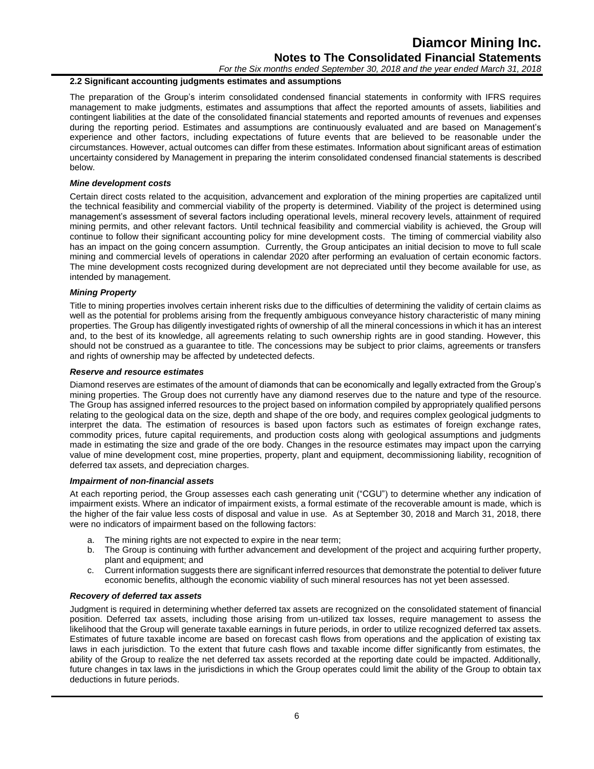*For the Six months ended September 30, 2018 and the year ended March 31, 2018*

# **2.2 Significant accounting judgments estimates and assumptions**

The preparation of the Group's interim consolidated condensed financial statements in conformity with IFRS requires management to make judgments, estimates and assumptions that affect the reported amounts of assets, liabilities and contingent liabilities at the date of the consolidated financial statements and reported amounts of revenues and expenses during the reporting period. Estimates and assumptions are continuously evaluated and are based on Management's experience and other factors, including expectations of future events that are believed to be reasonable under the circumstances. However, actual outcomes can differ from these estimates. Information about significant areas of estimation uncertainty considered by Management in preparing the interim consolidated condensed financial statements is described below.

# *Mine development costs*

Certain direct costs related to the acquisition, advancement and exploration of the mining properties are capitalized until the technical feasibility and commercial viability of the property is determined. Viability of the project is determined using management's assessment of several factors including operational levels, mineral recovery levels, attainment of required mining permits, and other relevant factors. Until technical feasibility and commercial viability is achieved, the Group will continue to follow their significant accounting policy for mine development costs. The timing of commercial viability also has an impact on the going concern assumption. Currently, the Group anticipates an initial decision to move to full scale mining and commercial levels of operations in calendar 2020 after performing an evaluation of certain economic factors. The mine development costs recognized during development are not depreciated until they become available for use, as intended by management.

# *Mining Property*

Title to mining properties involves certain inherent risks due to the difficulties of determining the validity of certain claims as well as the potential for problems arising from the frequently ambiguous conveyance history characteristic of many mining properties. The Group has diligently investigated rights of ownership of all the mineral concessions in which it has an interest and, to the best of its knowledge, all agreements relating to such ownership rights are in good standing. However, this should not be construed as a guarantee to title. The concessions may be subject to prior claims, agreements or transfers and rights of ownership may be affected by undetected defects.

# *Reserve and resource estimates*

Diamond reserves are estimates of the amount of diamonds that can be economically and legally extracted from the Group's mining properties. The Group does not currently have any diamond reserves due to the nature and type of the resource. The Group has assigned inferred resources to the project based on information compiled by appropriately qualified persons relating to the geological data on the size, depth and shape of the ore body, and requires complex geological judgments to interpret the data. The estimation of resources is based upon factors such as estimates of foreign exchange rates, commodity prices, future capital requirements, and production costs along with geological assumptions and judgments made in estimating the size and grade of the ore body. Changes in the resource estimates may impact upon the carrying value of mine development cost, mine properties, property, plant and equipment, decommissioning liability, recognition of deferred tax assets, and depreciation charges.

# *Impairment of non-financial assets*

At each reporting period, the Group assesses each cash generating unit ("CGU") to determine whether any indication of impairment exists. Where an indicator of impairment exists, a formal estimate of the recoverable amount is made, which is the higher of the fair value less costs of disposal and value in use. As at September 30, 2018 and March 31, 2018, there were no indicators of impairment based on the following factors:

- a. The mining rights are not expected to expire in the near term;
- b. The Group is continuing with further advancement and development of the project and acquiring further property, plant and equipment; and
- c. Current information suggests there are significant inferred resources that demonstrate the potential to deliver future economic benefits, although the economic viability of such mineral resources has not yet been assessed.

# *Recovery of deferred tax assets*

Judgment is required in determining whether deferred tax assets are recognized on the consolidated statement of financial position. Deferred tax assets, including those arising from un-utilized tax losses, require management to assess the likelihood that the Group will generate taxable earnings in future periods, in order to utilize recognized deferred tax assets. Estimates of future taxable income are based on forecast cash flows from operations and the application of existing tax laws in each jurisdiction. To the extent that future cash flows and taxable income differ significantly from estimates, the ability of the Group to realize the net deferred tax assets recorded at the reporting date could be impacted. Additionally, future changes in tax laws in the jurisdictions in which the Group operates could limit the ability of the Group to obtain tax deductions in future periods.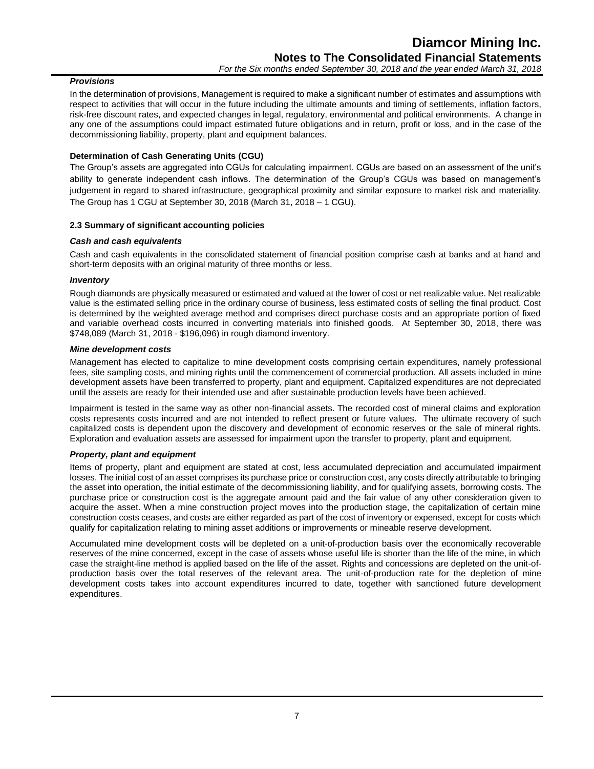# *Provisions*

In the determination of provisions, Management is required to make a significant number of estimates and assumptions with respect to activities that will occur in the future including the ultimate amounts and timing of settlements, inflation factors, risk-free discount rates, and expected changes in legal, regulatory, environmental and political environments. A change in any one of the assumptions could impact estimated future obligations and in return, profit or loss, and in the case of the decommissioning liability, property, plant and equipment balances.

# **Determination of Cash Generating Units (CGU)**

The Group's assets are aggregated into CGUs for calculating impairment. CGUs are based on an assessment of the unit's ability to generate independent cash inflows. The determination of the Group's CGUs was based on management's judgement in regard to shared infrastructure, geographical proximity and similar exposure to market risk and materiality. The Group has 1 CGU at September 30, 2018 (March 31, 2018 – 1 CGU).

# **2.3 Summary of significant accounting policies**

# *Cash and cash equivalents*

Cash and cash equivalents in the consolidated statement of financial position comprise cash at banks and at hand and short-term deposits with an original maturity of three months or less.

# *Inventory*

Rough diamonds are physically measured or estimated and valued at the lower of cost or net realizable value. Net realizable value is the estimated selling price in the ordinary course of business, less estimated costs of selling the final product. Cost is determined by the weighted average method and comprises direct purchase costs and an appropriate portion of fixed and variable overhead costs incurred in converting materials into finished goods. At September 30, 2018, there was \$748,089 (March 31, 2018 - \$196,096) in rough diamond inventory.

# *Mine development costs*

Management has elected to capitalize to mine development costs comprising certain expenditures, namely professional fees, site sampling costs, and mining rights until the commencement of commercial production. All assets included in mine development assets have been transferred to property, plant and equipment. Capitalized expenditures are not depreciated until the assets are ready for their intended use and after sustainable production levels have been achieved.

Impairment is tested in the same way as other non-financial assets. The recorded cost of mineral claims and exploration costs represents costs incurred and are not intended to reflect present or future values. The ultimate recovery of such capitalized costs is dependent upon the discovery and development of economic reserves or the sale of mineral rights. Exploration and evaluation assets are assessed for impairment upon the transfer to property, plant and equipment.

# *Property, plant and equipment*

Items of property, plant and equipment are stated at cost, less accumulated depreciation and accumulated impairment losses. The initial cost of an asset comprises its purchase price or construction cost, any costs directly attributable to bringing the asset into operation, the initial estimate of the decommissioning liability, and for qualifying assets, borrowing costs. The purchase price or construction cost is the aggregate amount paid and the fair value of any other consideration given to acquire the asset. When a mine construction project moves into the production stage, the capitalization of certain mine construction costs ceases, and costs are either regarded as part of the cost of inventory or expensed, except for costs which qualify for capitalization relating to mining asset additions or improvements or mineable reserve development.

Accumulated mine development costs will be depleted on a unit-of-production basis over the economically recoverable reserves of the mine concerned, except in the case of assets whose useful life is shorter than the life of the mine, in which case the straight-line method is applied based on the life of the asset. Rights and concessions are depleted on the unit-ofproduction basis over the total reserves of the relevant area. The unit-of-production rate for the depletion of mine development costs takes into account expenditures incurred to date, together with sanctioned future development expenditures.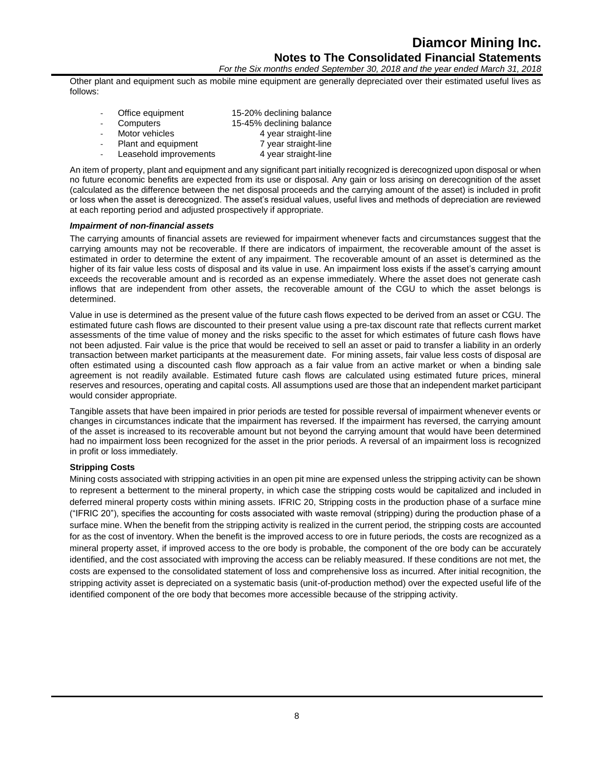Other plant and equipment such as mobile mine equipment are generally depreciated over their estimated useful lives as follows:

| Office equipment       | 15-20% declining balance |
|------------------------|--------------------------|
| Computers              | 15-45% declining balance |
| Motor vehicles         | 4 year straight-line     |
| Plant and equipment    | 7 year straight-line     |
| Leasehold improvements | 4 year straight-line     |

An item of property, plant and equipment and any significant part initially recognized is derecognized upon disposal or when no future economic benefits are expected from its use or disposal. Any gain or loss arising on derecognition of the asset (calculated as the difference between the net disposal proceeds and the carrying amount of the asset) is included in profit or loss when the asset is derecognized. The asset's residual values, useful lives and methods of depreciation are reviewed at each reporting period and adjusted prospectively if appropriate.

#### *Impairment of non-financial assets*

The carrying amounts of financial assets are reviewed for impairment whenever facts and circumstances suggest that the carrying amounts may not be recoverable. If there are indicators of impairment, the recoverable amount of the asset is estimated in order to determine the extent of any impairment. The recoverable amount of an asset is determined as the higher of its fair value less costs of disposal and its value in use. An impairment loss exists if the asset's carrying amount exceeds the recoverable amount and is recorded as an expense immediately. Where the asset does not generate cash inflows that are independent from other assets, the recoverable amount of the CGU to which the asset belongs is determined.

Value in use is determined as the present value of the future cash flows expected to be derived from an asset or CGU. The estimated future cash flows are discounted to their present value using a pre-tax discount rate that reflects current market assessments of the time value of money and the risks specific to the asset for which estimates of future cash flows have not been adjusted. Fair value is the price that would be received to sell an asset or paid to transfer a liability in an orderly transaction between market participants at the measurement date. For mining assets, fair value less costs of disposal are often estimated using a discounted cash flow approach as a fair value from an active market or when a binding sale agreement is not readily available. Estimated future cash flows are calculated using estimated future prices, mineral reserves and resources, operating and capital costs. All assumptions used are those that an independent market participant would consider appropriate.

Tangible assets that have been impaired in prior periods are tested for possible reversal of impairment whenever events or changes in circumstances indicate that the impairment has reversed. If the impairment has reversed, the carrying amount of the asset is increased to its recoverable amount but not beyond the carrying amount that would have been determined had no impairment loss been recognized for the asset in the prior periods. A reversal of an impairment loss is recognized in profit or loss immediately.

# **Stripping Costs**

Mining costs associated with stripping activities in an open pit mine are expensed unless the stripping activity can be shown to represent a betterment to the mineral property, in which case the stripping costs would be capitalized and included in deferred mineral property costs within mining assets. IFRIC 20, Stripping costs in the production phase of a surface mine ("IFRIC 20"), specifies the accounting for costs associated with waste removal (stripping) during the production phase of a surface mine. When the benefit from the stripping activity is realized in the current period, the stripping costs are accounted for as the cost of inventory. When the benefit is the improved access to ore in future periods, the costs are recognized as a mineral property asset, if improved access to the ore body is probable, the component of the ore body can be accurately identified, and the cost associated with improving the access can be reliably measured. If these conditions are not met, the costs are expensed to the consolidated statement of loss and comprehensive loss as incurred. After initial recognition, the stripping activity asset is depreciated on a systematic basis (unit-of-production method) over the expected useful life of the identified component of the ore body that becomes more accessible because of the stripping activity.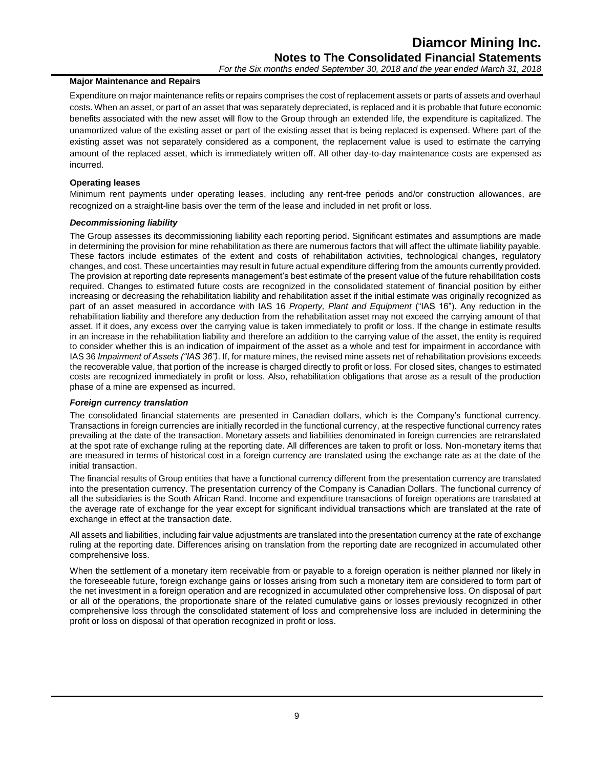# **Major Maintenance and Repairs**

Expenditure on major maintenance refits or repairs comprises the cost of replacement assets or parts of assets and overhaul costs. When an asset, or part of an asset that was separately depreciated, is replaced and it is probable that future economic benefits associated with the new asset will flow to the Group through an extended life, the expenditure is capitalized. The unamortized value of the existing asset or part of the existing asset that is being replaced is expensed. Where part of the existing asset was not separately considered as a component, the replacement value is used to estimate the carrying amount of the replaced asset, which is immediately written off. All other day-to-day maintenance costs are expensed as incurred.

# **Operating leases**

Minimum rent payments under operating leases, including any rent-free periods and/or construction allowances, are recognized on a straight-line basis over the term of the lease and included in net profit or loss.

# *Decommissioning liability*

The Group assesses its decommissioning liability each reporting period. Significant estimates and assumptions are made in determining the provision for mine rehabilitation as there are numerous factors that will affect the ultimate liability payable. These factors include estimates of the extent and costs of rehabilitation activities, technological changes, regulatory changes, and cost. These uncertainties may result in future actual expenditure differing from the amounts currently provided. The provision at reporting date represents management's best estimate of the present value of the future rehabilitation costs required. Changes to estimated future costs are recognized in the consolidated statement of financial position by either increasing or decreasing the rehabilitation liability and rehabilitation asset if the initial estimate was originally recognized as part of an asset measured in accordance with IAS 16 *Property, Plant and Equipment* ("IAS 16"). Any reduction in the rehabilitation liability and therefore any deduction from the rehabilitation asset may not exceed the carrying amount of that asset. If it does, any excess over the carrying value is taken immediately to profit or loss. If the change in estimate results in an increase in the rehabilitation liability and therefore an addition to the carrying value of the asset, the entity is required to consider whether this is an indication of impairment of the asset as a whole and test for impairment in accordance with IAS 36 *Impairment of Assets ("IAS 36")*. If, for mature mines, the revised mine assets net of rehabilitation provisions exceeds the recoverable value, that portion of the increase is charged directly to profit or loss. For closed sites, changes to estimated costs are recognized immediately in profit or loss. Also, rehabilitation obligations that arose as a result of the production phase of a mine are expensed as incurred.

# *Foreign currency translation*

The consolidated financial statements are presented in Canadian dollars, which is the Company's functional currency. Transactions in foreign currencies are initially recorded in the functional currency, at the respective functional currency rates prevailing at the date of the transaction. Monetary assets and liabilities denominated in foreign currencies are retranslated at the spot rate of exchange ruling at the reporting date. All differences are taken to profit or loss. Non-monetary items that are measured in terms of historical cost in a foreign currency are translated using the exchange rate as at the date of the initial transaction.

The financial results of Group entities that have a functional currency different from the presentation currency are translated into the presentation currency. The presentation currency of the Company is Canadian Dollars. The functional currency of all the subsidiaries is the South African Rand. Income and expenditure transactions of foreign operations are translated at the average rate of exchange for the year except for significant individual transactions which are translated at the rate of exchange in effect at the transaction date.

All assets and liabilities, including fair value adjustments are translated into the presentation currency at the rate of exchange ruling at the reporting date. Differences arising on translation from the reporting date are recognized in accumulated other comprehensive loss.

When the settlement of a monetary item receivable from or payable to a foreign operation is neither planned nor likely in the foreseeable future, foreign exchange gains or losses arising from such a monetary item are considered to form part of the net investment in a foreign operation and are recognized in accumulated other comprehensive loss. On disposal of part or all of the operations, the proportionate share of the related cumulative gains or losses previously recognized in other comprehensive loss through the consolidated statement of loss and comprehensive loss are included in determining the profit or loss on disposal of that operation recognized in profit or loss.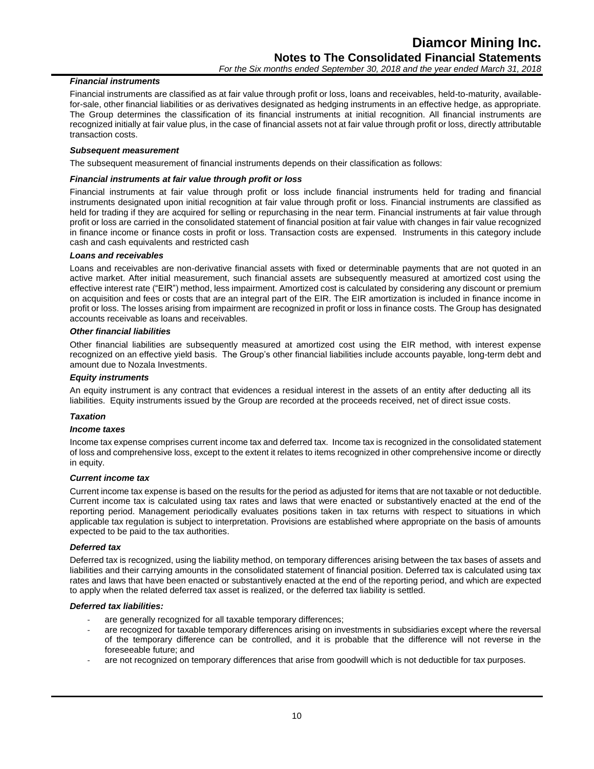# *Financial instruments*

Financial instruments are classified as at fair value through profit or loss, loans and receivables, held-to-maturity, availablefor-sale, other financial liabilities or as derivatives designated as hedging instruments in an effective hedge, as appropriate. The Group determines the classification of its financial instruments at initial recognition. All financial instruments are recognized initially at fair value plus, in the case of financial assets not at fair value through profit or loss, directly attributable transaction costs.

# *Subsequent measurement*

The subsequent measurement of financial instruments depends on their classification as follows:

### *Financial instruments at fair value through profit or loss*

Financial instruments at fair value through profit or loss include financial instruments held for trading and financial instruments designated upon initial recognition at fair value through profit or loss. Financial instruments are classified as held for trading if they are acquired for selling or repurchasing in the near term. Financial instruments at fair value through profit or loss are carried in the consolidated statement of financial position at fair value with changes in fair value recognized in finance income or finance costs in profit or loss. Transaction costs are expensed. Instruments in this category include cash and cash equivalents and restricted cash

# *Loans and receivables*

Loans and receivables are non-derivative financial assets with fixed or determinable payments that are not quoted in an active market. After initial measurement, such financial assets are subsequently measured at amortized cost using the effective interest rate ("EIR") method, less impairment. Amortized cost is calculated by considering any discount or premium on acquisition and fees or costs that are an integral part of the EIR. The EIR amortization is included in finance income in profit or loss. The losses arising from impairment are recognized in profit or loss in finance costs. The Group has designated accounts receivable as loans and receivables.

#### *Other financial liabilities*

Other financial liabilities are subsequently measured at amortized cost using the EIR method, with interest expense recognized on an effective yield basis. The Group's other financial liabilities include accounts payable, long-term debt and amount due to Nozala Investments.

#### *Equity instruments*

An equity instrument is any contract that evidences a residual interest in the assets of an entity after deducting all its liabilities. Equity instruments issued by the Group are recorded at the proceeds received, net of direct issue costs.

# *Taxation*

# *Income taxes*

Income tax expense comprises current income tax and deferred tax. Income tax is recognized in the consolidated statement of loss and comprehensive loss, except to the extent it relates to items recognized in other comprehensive income or directly in equity.

#### *Current income tax*

Current income tax expense is based on the results for the period as adjusted for items that are not taxable or not deductible. Current income tax is calculated using tax rates and laws that were enacted or substantively enacted at the end of the reporting period. Management periodically evaluates positions taken in tax returns with respect to situations in which applicable tax regulation is subject to interpretation. Provisions are established where appropriate on the basis of amounts expected to be paid to the tax authorities.

# *Deferred tax*

Deferred tax is recognized, using the liability method, on temporary differences arising between the tax bases of assets and liabilities and their carrying amounts in the consolidated statement of financial position. Deferred tax is calculated using tax rates and laws that have been enacted or substantively enacted at the end of the reporting period, and which are expected to apply when the related deferred tax asset is realized, or the deferred tax liability is settled.

#### *Deferred tax liabilities:*

- are generally recognized for all taxable temporary differences;
- are recognized for taxable temporary differences arising on investments in subsidiaries except where the reversal of the temporary difference can be controlled, and it is probable that the difference will not reverse in the foreseeable future; and
- are not recognized on temporary differences that arise from goodwill which is not deductible for tax purposes.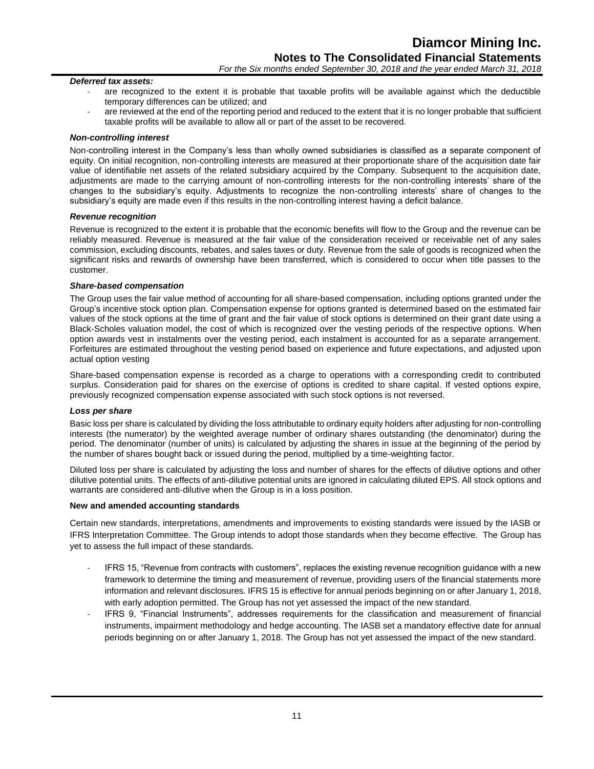# *For the Six months ended September 30, 2018 and the year ended March 31, 2018*

# *Deferred tax assets:*

- are recognized to the extent it is probable that taxable profits will be available against which the deductible temporary differences can be utilized; and
- are reviewed at the end of the reporting period and reduced to the extent that it is no longer probable that sufficient taxable profits will be available to allow all or part of the asset to be recovered.

#### *Non-controlling interest*

Non-controlling interest in the Company's less than wholly owned subsidiaries is classified as a separate component of equity. On initial recognition, non-controlling interests are measured at their proportionate share of the acquisition date fair value of identifiable net assets of the related subsidiary acquired by the Company. Subsequent to the acquisition date, adjustments are made to the carrying amount of non-controlling interests for the non-controlling interests' share of the changes to the subsidiary's equity. Adjustments to recognize the non-controlling interests' share of changes to the subsidiary's equity are made even if this results in the non-controlling interest having a deficit balance.

#### *Revenue recognition*

Revenue is recognized to the extent it is probable that the economic benefits will flow to the Group and the revenue can be reliably measured. Revenue is measured at the fair value of the consideration received or receivable net of any sales commission, excluding discounts, rebates, and sales taxes or duty. Revenue from the sale of goods is recognized when the significant risks and rewards of ownership have been transferred, which is considered to occur when title passes to the customer.

#### *Share-based compensation*

The Group uses the fair value method of accounting for all share-based compensation, including options granted under the Group's incentive stock option plan. Compensation expense for options granted is determined based on the estimated fair values of the stock options at the time of grant and the fair value of stock options is determined on their grant date using a Black-Scholes valuation model, the cost of which is recognized over the vesting periods of the respective options. When option awards vest in instalments over the vesting period, each instalment is accounted for as a separate arrangement. Forfeitures are estimated throughout the vesting period based on experience and future expectations, and adjusted upon actual option vesting

Share-based compensation expense is recorded as a charge to operations with a corresponding credit to contributed surplus. Consideration paid for shares on the exercise of options is credited to share capital. If vested options expire, previously recognized compensation expense associated with such stock options is not reversed.

#### *Loss per share*

Basic loss per share is calculated by dividing the loss attributable to ordinary equity holders after adjusting for non-controlling interests (the numerator) by the weighted average number of ordinary shares outstanding (the denominator) during the period. The denominator (number of units) is calculated by adjusting the shares in issue at the beginning of the period by the number of shares bought back or issued during the period, multiplied by a time-weighting factor.

Diluted loss per share is calculated by adjusting the loss and number of shares for the effects of dilutive options and other dilutive potential units. The effects of anti-dilutive potential units are ignored in calculating diluted EPS. All stock options and warrants are considered anti-dilutive when the Group is in a loss position.

# **New and amended accounting standards**

Certain new standards, interpretations, amendments and improvements to existing standards were issued by the IASB or IFRS Interpretation Committee. The Group intends to adopt those standards when they become effective. The Group has yet to assess the full impact of these standards.

- IFRS 15, "Revenue from contracts with customers", replaces the existing revenue recognition guidance with a new framework to determine the timing and measurement of revenue, providing users of the financial statements more information and relevant disclosures. IFRS 15 is effective for annual periods beginning on or after January 1, 2018, with early adoption permitted. The Group has not yet assessed the impact of the new standard.
- IFRS 9, "Financial Instruments", addresses requirements for the classification and measurement of financial instruments, impairment methodology and hedge accounting. The IASB set a mandatory effective date for annual periods beginning on or after January 1, 2018. The Group has not yet assessed the impact of the new standard.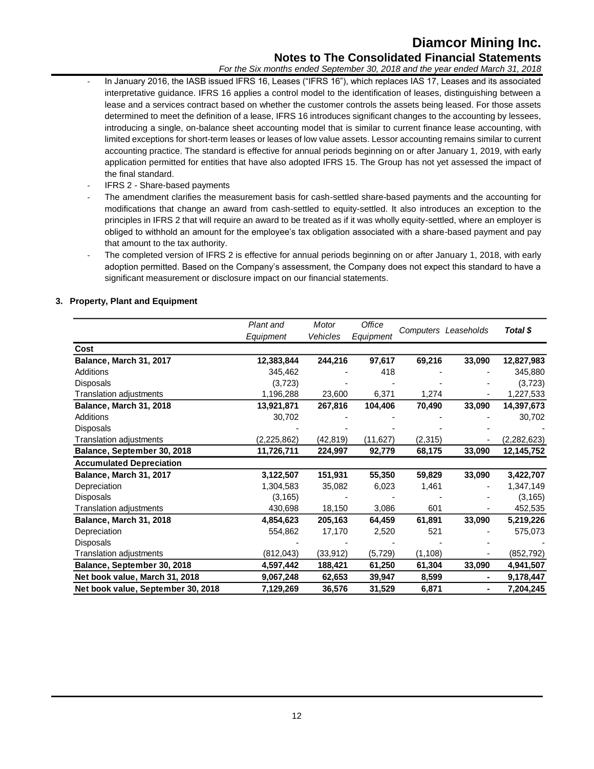# **Diamcor Mining Inc. Notes to The Consolidated Financial Statements**

*For the Six months ended September 30, 2018 and the year ended March 31, 2018*

- In January 2016, the IASB issued IFRS 16, Leases ("IFRS 16"), which replaces IAS 17, Leases and its associated interpretative guidance. IFRS 16 applies a control model to the identification of leases, distinguishing between a lease and a services contract based on whether the customer controls the assets being leased. For those assets determined to meet the definition of a lease, IFRS 16 introduces significant changes to the accounting by lessees, introducing a single, on-balance sheet accounting model that is similar to current finance lease accounting, with limited exceptions for short-term leases or leases of low value assets. Lessor accounting remains similar to current accounting practice. The standard is effective for annual periods beginning on or after January 1, 2019, with early application permitted for entities that have also adopted IFRS 15. The Group has not yet assessed the impact of the final standard.
- IFRS 2 Share-based payments
- The amendment clarifies the measurement basis for cash-settled share-based payments and the accounting for modifications that change an award from cash-settled to equity-settled. It also introduces an exception to the principles in IFRS 2 that will require an award to be treated as if it was wholly equity-settled, where an employer is obliged to withhold an amount for the employee's tax obligation associated with a share-based payment and pay that amount to the tax authority.
- The completed version of IFRS 2 is effective for annual periods beginning on or after January 1, 2018, with early adoption permitted. Based on the Company's assessment, the Company does not expect this standard to have a significant measurement or disclosure impact on our financial statements.

# **3. Property, Plant and Equipment**

|                                    | Plant and     | Motor           | Office    |          |                      |             |  |
|------------------------------------|---------------|-----------------|-----------|----------|----------------------|-------------|--|
|                                    | Equipment     | <b>Vehicles</b> | Equipment |          | Computers Leaseholds | Total \$    |  |
| Cost                               |               |                 |           |          |                      |             |  |
| Balance, March 31, 2017            | 12,383,844    | 244,216         | 97,617    | 69,216   | 33,090               | 12,827,983  |  |
| <b>Additions</b>                   | 345,462       |                 | 418       |          |                      | 345,880     |  |
| <b>Disposals</b>                   | (3,723)       |                 |           |          |                      | (3,723)     |  |
| Translation adjustments            | 1,196,288     | 23,600          | 6,371     | 1,274    |                      | 1,227,533   |  |
| Balance, March 31, 2018            | 13,921,871    | 267,816         | 104,406   | 70,490   | 33,090               | 14,397,673  |  |
| <b>Additions</b>                   | 30,702        |                 |           |          |                      | 30,702      |  |
| <b>Disposals</b>                   |               |                 |           |          |                      |             |  |
| Translation adjustments            | (2, 225, 862) | (42,819)        | (11, 627) | (2,315)  |                      | (2,282,623) |  |
| Balance, September 30, 2018        | 11,726,711    | 224,997         | 92,779    | 68,175   | 33,090               | 12,145,752  |  |
| <b>Accumulated Depreciation</b>    |               |                 |           |          |                      |             |  |
| Balance, March 31, 2017            | 3,122,507     | 151,931         | 55,350    | 59,829   | 33,090               | 3,422,707   |  |
| Depreciation                       | 1,304,583     | 35,082          | 6,023     | 1,461    |                      | 1,347,149   |  |
| <b>Disposals</b>                   | (3, 165)      |                 |           |          |                      | (3, 165)    |  |
| Translation adjustments            | 430,698       | 18,150          | 3,086     | 601      |                      | 452,535     |  |
| Balance, March 31, 2018            | 4,854,623     | 205,163         | 64,459    | 61,891   | 33,090               | 5,219,226   |  |
| Depreciation                       | 554,862       | 17,170          | 2,520     | 521      |                      | 575,073     |  |
| <b>Disposals</b>                   |               |                 |           |          |                      |             |  |
| Translation adjustments            | (812, 043)    | (33, 912)       | (5, 729)  | (1, 108) |                      | (852, 792)  |  |
| Balance, September 30, 2018        | 4,597,442     | 188,421         | 61,250    | 61,304   | 33,090               | 4,941,507   |  |
| Net book value, March 31, 2018     | 9,067,248     | 62,653          | 39,947    | 8,599    |                      | 9,178,447   |  |
| Net book value, September 30, 2018 | 7,129,269     | 36,576          | 31,529    | 6,871    |                      | 7,204,245   |  |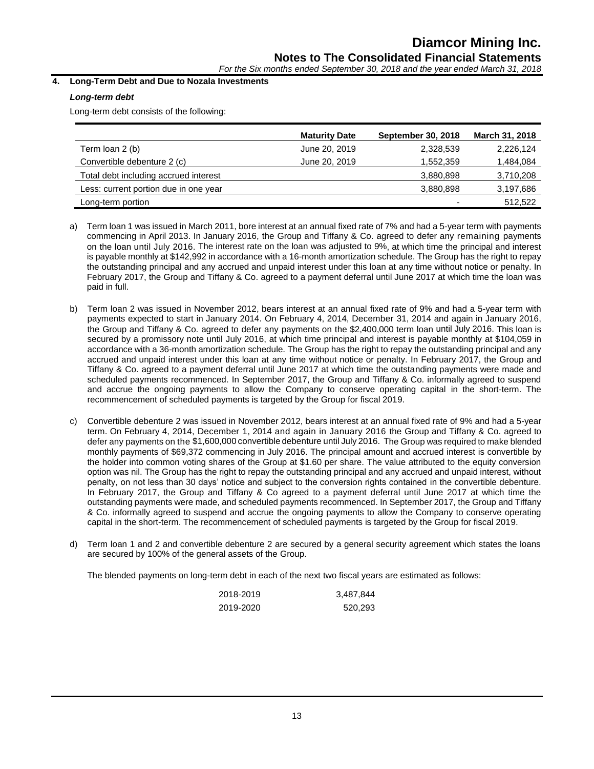*For the Six months ended September 30, 2018 and the year ended March 31, 2018*

# **4. Long-Term Debt and Due to Nozala Investments**

# *Long-term debt*

Long-term debt consists of the following:

|                                       | <b>Maturity Date</b> | <b>September 30, 2018</b> | March 31, 2018 |
|---------------------------------------|----------------------|---------------------------|----------------|
| Term loan 2 (b)                       | June 20, 2019        | 2,328,539                 | 2,226,124      |
| Convertible debenture 2 (c)           | June 20, 2019        | 1,552,359                 | 1,484,084      |
| Total debt including accrued interest |                      | 3,880,898                 | 3,710,208      |
| Less: current portion due in one year |                      | 3,880,898                 | 3,197,686      |
| Long-term portion                     |                      | -                         | 512,522        |

- a) Term loan 1 was issued in March 2011, bore interest at an annual fixed rate of 7% and had a 5-year term with payments commencing in April 2013. In January 2016, the Group and Tiffany & Co. agreed to defer any remaining payments on the loan until July 2016. The interest rate on the loan was adjusted to 9%, at which time the principal and interest is payable monthly at \$142,992 in accordance with a 16-month amortization schedule. The Group has the right to repay the outstanding principal and any accrued and unpaid interest under this loan at any time without notice or penalty. In February 2017, the Group and Tiffany & Co. agreed to a payment deferral until June 2017 at which time the loan was paid in full.
- b) Term loan 2 was issued in November 2012, bears interest at an annual fixed rate of 9% and had a 5-year term with payments expected to start in January 2014. On February 4, 2014, December 31, 2014 and again in January 2016, the Group and Tiffany & Co. agreed to defer any payments on the \$2,400,000 term loan until July 2016. This loan is secured by a promissory note until July 2016, at which time principal and interest is payable monthly at \$104,059 in accordance with a 36-month amortization schedule. The Group has the right to repay the outstanding principal and any accrued and unpaid interest under this loan at any time without notice or penalty. In February 2017, the Group and Tiffany & Co. agreed to a payment deferral until June 2017 at which time the outstanding payments were made and scheduled payments recommenced. In September 2017, the Group and Tiffany & Co. informally agreed to suspend and accrue the ongoing payments to allow the Company to conserve operating capital in the short-term. The recommencement of scheduled payments is targeted by the Group for fiscal 2019.
- c) Convertible debenture 2 was issued in November 2012, bears interest at an annual fixed rate of 9% and had a 5-year term. On February 4, 2014, December 1, 2014 and again in January 2016 the Group and Tiffany & Co. agreed to defer any payments on the \$1,600,000 convertible debenture until July 2016. The Group was required to make blended monthly payments of \$69,372 commencing in July 2016. The principal amount and accrued interest is convertible by the holder into common voting shares of the Group at \$1.60 per share. The value attributed to the equity conversion option was nil. The Group has the right to repay the outstanding principal and any accrued and unpaid interest, without penalty, on not less than 30 days' notice and subject to the conversion rights contained in the convertible debenture. In February 2017, the Group and Tiffany & Co agreed to a payment deferral until June 2017 at which time the outstanding payments were made, and scheduled payments recommenced. In September 2017, the Group and Tiffany & Co. informally agreed to suspend and accrue the ongoing payments to allow the Company to conserve operating capital in the short-term. The recommencement of scheduled payments is targeted by the Group for fiscal 2019.
- d) Term loan 1 and 2 and convertible debenture 2 are secured by a general security agreement which states the loans are secured by 100% of the general assets of the Group.

The blended payments on long-term debt in each of the next two fiscal years are estimated as follows:

| 2018-2019 | 3,487,844 |
|-----------|-----------|
| 2019-2020 | 520,293   |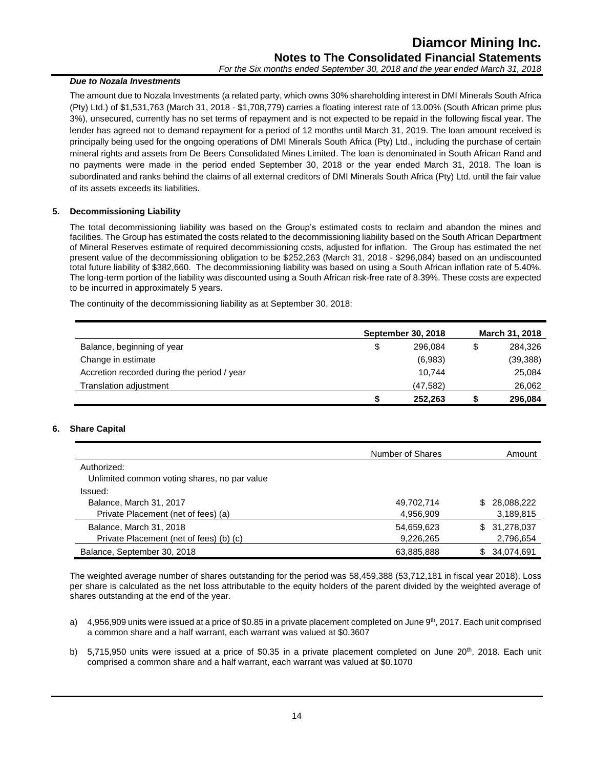# *Due to Nozala Investments*

The amount due to Nozala Investments (a related party, which owns 30% shareholding interest in DMI Minerals South Africa (Pty) Ltd.) of \$1,531,763 (March 31, 2018 - \$1,708,779) carries a floating interest rate of 13.00% (South African prime plus 3%), unsecured, currently has no set terms of repayment and is not expected to be repaid in the following fiscal year. The lender has agreed not to demand repayment for a period of 12 months until March 31, 2019. The loan amount received is principally being used for the ongoing operations of DMI Minerals South Africa (Pty) Ltd., including the purchase of certain mineral rights and assets from De Beers Consolidated Mines Limited. The loan is denominated in South African Rand and no payments were made in the period ended September 30, 2018 or the year ended March 31, 2018. The loan is subordinated and ranks behind the claims of all external creditors of DMI Minerals South Africa (Pty) Ltd. until the fair value of its assets exceeds its liabilities.

# **5. Decommissioning Liability**

The total decommissioning liability was based on the Group's estimated costs to reclaim and abandon the mines and facilities. The Group has estimated the costs related to the decommissioning liability based on the South African Department of Mineral Reserves estimate of required decommissioning costs, adjusted for inflation. The Group has estimated the net present value of the decommissioning obligation to be \$252,263 (March 31, 2018 - \$296,084) based on an undiscounted total future liability of \$382,660. The decommissioning liability was based on using a South African inflation rate of 5.40%. The long-term portion of the liability was discounted using a South African risk-free rate of 8.39%. These costs are expected to be incurred in approximately 5 years.

The continuity of the decommissioning liability as at September 30, 2018:

|                                             | <b>September 30, 2018</b> |           |   | March 31, 2018 |
|---------------------------------------------|---------------------------|-----------|---|----------------|
| Balance, beginning of year                  | S                         | 296.084   | S | 284.326        |
| Change in estimate                          |                           | (6,983)   |   | (39, 388)      |
| Accretion recorded during the period / year |                           | 10.744    |   | 25,084         |
| <b>Translation adjustment</b>               |                           | (47, 582) |   | 26,062         |
|                                             | S                         | 252,263   |   | 296,084        |

# **6. Share Capital**

|                                              | Number of Shares | Amount            |
|----------------------------------------------|------------------|-------------------|
| Authorized:                                  |                  |                   |
| Unlimited common voting shares, no par value |                  |                   |
| Issued:                                      |                  |                   |
| Balance, March 31, 2017                      | 49,702,714       | 28.088.222<br>\$. |
| Private Placement (net of fees) (a)          | 4,956,909        | 3,189,815         |
| Balance, March 31, 2018                      | 54,659,623       | 31,278,037<br>\$. |
| Private Placement (net of fees) (b) (c)      | 9,226,265        | 2,796,654         |
| Balance, September 30, 2018                  | 63,885,888       | 34,074,691<br>\$. |

The weighted average number of shares outstanding for the period was 58,459,388 (53,712,181 in fiscal year 2018). Loss per share is calculated as the net loss attributable to the equity holders of the parent divided by the weighted average of shares outstanding at the end of the year.

- a)  $4.956,909$  units were issued at a price of \$0.85 in a private placement completed on June  $9<sup>th</sup>$ , 2017. Each unit comprised a common share and a half warrant, each warrant was valued at \$0.3607
- b) 5,715,950 units were issued at a price of \$0.35 in a private placement completed on June  $20<sup>th</sup>$ , 2018. Each unit comprised a common share and a half warrant, each warrant was valued at \$0.1070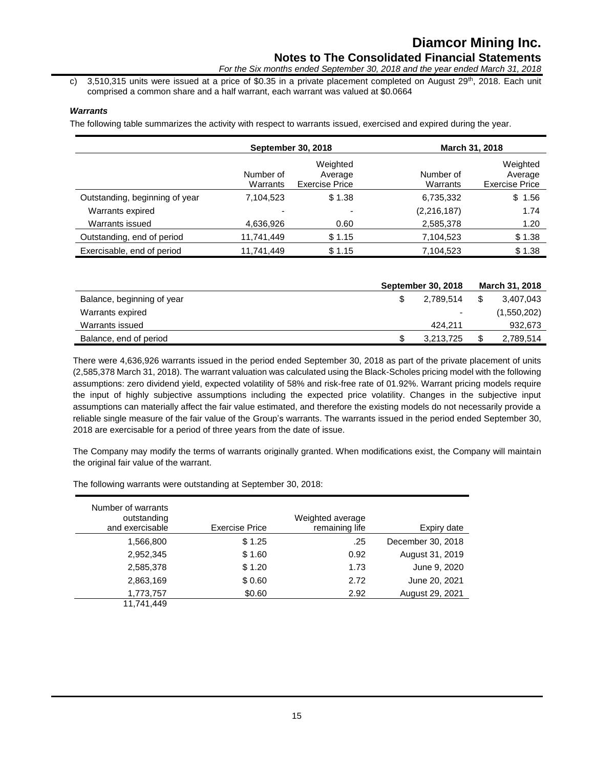c) 3,510,315 units were issued at a price of \$0.35 in a private placement completed on August  $29^{th}$ , 2018. Each unit comprised a common share and a half warrant, each warrant was valued at \$0.0664

# *Warrants*

The following table summarizes the activity with respect to warrants issued, exercised and expired during the year.

|                                | <b>September 30, 2018</b> |                                              |                       | March 31, 2018                               |
|--------------------------------|---------------------------|----------------------------------------------|-----------------------|----------------------------------------------|
|                                | Number of<br>Warrants     | Weighted<br>Average<br><b>Exercise Price</b> | Number of<br>Warrants | Weighted<br>Average<br><b>Exercise Price</b> |
| Outstanding, beginning of year | 7,104,523                 | \$1.38                                       | 6,735,332             | \$1.56                                       |
| Warrants expired               |                           |                                              | (2,216,187)           | 1.74                                         |
| Warrants issued                | 4,636,926                 | 0.60                                         | 2,585,378             | 1.20                                         |
| Outstanding, end of period     | 11,741,449                | \$1.15                                       | 7,104,523             | \$1.38                                       |
| Exercisable, end of period     | 11,741,449                | \$1.15                                       | 7,104,523             | \$1.38                                       |

|                            | <b>September 30, 2018</b> | March 31, 2018  |
|----------------------------|---------------------------|-----------------|
| Balance, beginning of year | 2.789.514                 | \$<br>3,407,043 |
| Warrants expired           | ٠                         | (1,550,202)     |
| Warrants issued            | 424.211                   | 932,673         |
| Balance, end of period     | 3,213,725                 | \$<br>2,789,514 |

There were 4,636,926 warrants issued in the period ended September 30, 2018 as part of the private placement of units (2,585,378 March 31, 2018). The warrant valuation was calculated using the Black-Scholes pricing model with the following assumptions: zero dividend yield, expected volatility of 58% and risk-free rate of 01.92%. Warrant pricing models require the input of highly subjective assumptions including the expected price volatility. Changes in the subjective input assumptions can materially affect the fair value estimated, and therefore the existing models do not necessarily provide a reliable single measure of the fair value of the Group's warrants. The warrants issued in the period ended September 30, 2018 are exercisable for a period of three years from the date of issue.

The Company may modify the terms of warrants originally granted. When modifications exist, the Company will maintain the original fair value of the warrant.

| Number of warrants<br>outstanding<br>and exercisable | <b>Exercise Price</b> | Weighted average<br>remaining life | Expiry date       |
|------------------------------------------------------|-----------------------|------------------------------------|-------------------|
| 1,566,800                                            | \$1.25                | .25                                | December 30, 2018 |
| 2,952,345                                            | \$1.60                | 0.92                               | August 31, 2019   |
| 2,585,378                                            | \$1.20                | 1.73                               | June 9, 2020      |
| 2,863,169                                            | \$0.60                | 2.72                               | June 20, 2021     |
| 1,773,757                                            | \$0.60                | 2.92                               | August 29, 2021   |
| 11,741,449                                           |                       |                                    |                   |

The following warrants were outstanding at September 30, 2018: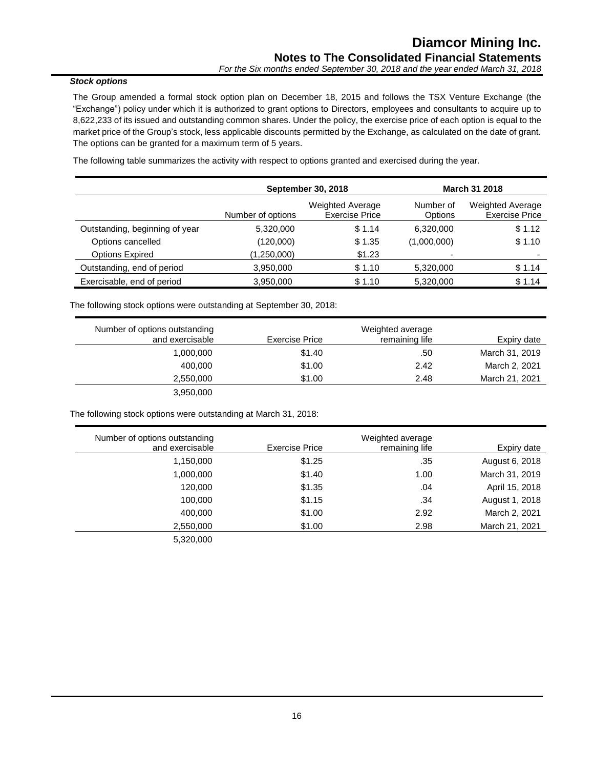# *Stock options*

The Group amended a formal stock option plan on December 18, 2015 and follows the TSX Venture Exchange (the "Exchange") policy under which it is authorized to grant options to Directors, employees and consultants to acquire up to 8,622,233 of its issued and outstanding common shares. Under the policy, the exercise price of each option is equal to the market price of the Group's stock, less applicable discounts permitted by the Exchange, as calculated on the date of grant. The options can be granted for a maximum term of 5 years.

The following table summarizes the activity with respect to options granted and exercised during the year.

|                                | September 30, 2018 |                                                  | <b>March 31 2018</b>        |                                                  |
|--------------------------------|--------------------|--------------------------------------------------|-----------------------------|--------------------------------------------------|
|                                | Number of options  | <b>Weighted Average</b><br><b>Exercise Price</b> | Number of<br><b>Options</b> | <b>Weighted Average</b><br><b>Exercise Price</b> |
| Outstanding, beginning of year | 5,320,000          | \$1.14                                           | 6,320,000                   | \$1.12                                           |
| Options cancelled              | (120,000)          | \$1.35                                           | (1,000,000)                 | \$1.10                                           |
| <b>Options Expired</b>         | (1,250,000)        | \$1.23                                           |                             | -                                                |
| Outstanding, end of period     | 3,950,000          | \$1.10                                           | 5,320,000                   | \$1.14                                           |
| Exercisable, end of period     | 3,950,000          | \$1.10                                           | 5,320,000                   | \$1.14                                           |

The following stock options were outstanding at September 30, 2018:

| Number of options outstanding |                | Weighted average |                |
|-------------------------------|----------------|------------------|----------------|
| and exercisable               | Exercise Price | remaining life   | Expiry date    |
| 1,000,000                     | \$1.40         | .50              | March 31, 2019 |
| 400.000                       | \$1.00         | 2.42             | March 2, 2021  |
| 2,550,000                     | \$1.00         | 2.48             | March 21, 2021 |
| 3,950,000                     |                |                  |                |

The following stock options were outstanding at March 31, 2018:

| Number of options outstanding |                       | Weighted average |                |
|-------------------------------|-----------------------|------------------|----------------|
| and exercisable               | <b>Exercise Price</b> | remaining life   | Expiry date    |
| 1,150,000                     | \$1.25                | .35              | August 6, 2018 |
| 1,000,000                     | \$1.40                | 1.00             | March 31, 2019 |
| 120,000                       | \$1.35                | .04              | April 15, 2018 |
| 100.000                       | \$1.15                | .34              | August 1, 2018 |
| 400,000                       | \$1.00                | 2.92             | March 2, 2021  |
| 2,550,000                     | \$1.00                | 2.98             | March 21, 2021 |
| 5,320,000                     |                       |                  |                |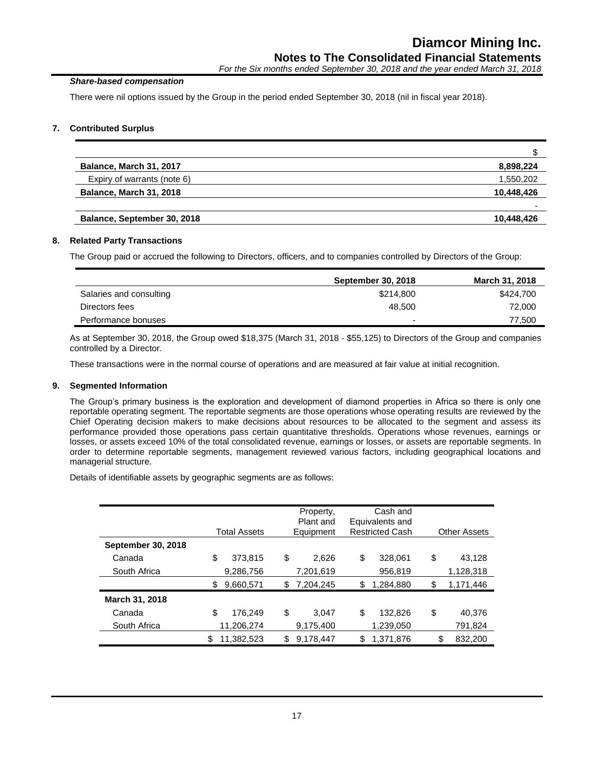# *Share-based compensation*

There were nil options issued by the Group in the period ended September 30, 2018 (nil in fiscal year 2018).

# **7. Contributed Surplus**

| Balance, March 31, 2017        | 8,898,224  |
|--------------------------------|------------|
| Expiry of warrants (note 6)    | 1,550,202  |
| <b>Balance, March 31, 2018</b> | 10,448,426 |
|                                |            |
| Balance, September 30, 2018    | 10,448,426 |

# **8. Related Party Transactions**

The Group paid or accrued the following to Directors, officers, and to companies controlled by Directors of the Group:

|                         | <b>September 30, 2018</b> | March 31, 2018 |
|-------------------------|---------------------------|----------------|
| Salaries and consulting | \$214,800                 | \$424,700      |
| Directors fees          | 48.500                    | 72,000         |
| Performance bonuses     | -                         | 77.500         |
|                         |                           |                |

As at September 30, 2018, the Group owed \$18,375 (March 31, 2018 - \$55,125) to Directors of the Group and companies controlled by a Director.

These transactions were in the normal course of operations and are measured at fair value at initial recognition.

# **9. Segmented Information**

The Group's primary business is the exploration and development of diamond properties in Africa so there is only one reportable operating segment. The reportable segments are those operations whose operating results are reviewed by the Chief Operating decision makers to make decisions about resources to be allocated to the segment and assess its performance provided those operations pass certain quantitative thresholds. Operations whose revenues, earnings or losses, or assets exceed 10% of the total consolidated revenue, earnings or losses, or assets are reportable segments. In order to determine reportable segments, management reviewed various factors, including geographical locations and managerial structure.

Details of identifiable assets by geographic segments are as follows:

|                    | <b>Total Assets</b> | Property,<br>Plant and<br>Equipment |    | Cash and<br>Equivalents and<br><b>Restricted Cash</b> | <b>Other Assets</b> |
|--------------------|---------------------|-------------------------------------|----|-------------------------------------------------------|---------------------|
| September 30, 2018 |                     |                                     |    |                                                       |                     |
| Canada             | \$<br>373,815       | \$<br>2,626                         | \$ | 328,061                                               | \$<br>43.128        |
| South Africa       | 9,286,756           | 7,201,619                           |    | 956,819                                               | 1,128,318           |
|                    | \$<br>9,660,571     | \$<br>7,204,245                     | S  | 1,284,880                                             | \$<br>1,171,446     |
| March 31, 2018     |                     |                                     |    |                                                       |                     |
| Canada             | \$<br>176.249       | \$<br>3.047                         | \$ | 132,826                                               | \$<br>40.376        |
| South Africa       | 11,206,274          | 9,175,400                           |    | 1,239,050                                             | 791,824             |
|                    | \$<br>11,382,523    | \$<br>9,178,447                     | \$ | 1,371,876                                             | \$<br>832,200       |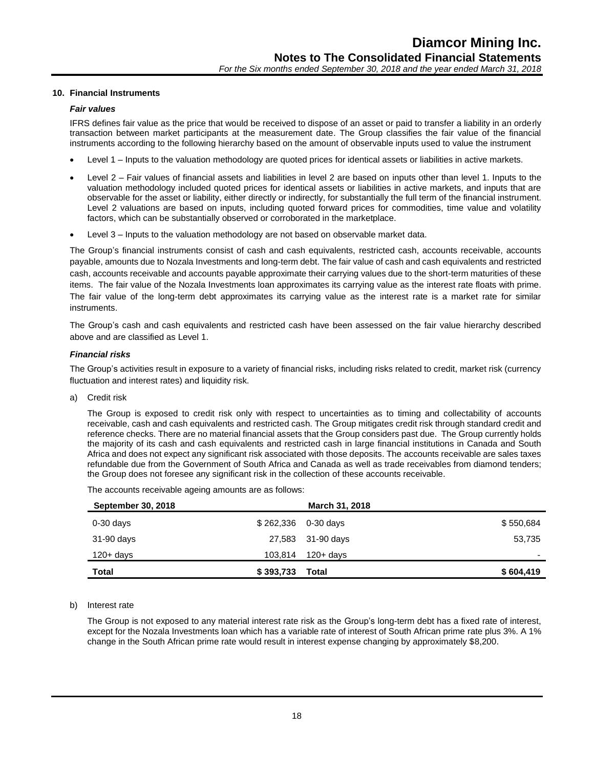# **10. Financial Instruments**

#### *Fair values*

IFRS defines fair value as the price that would be received to dispose of an asset or paid to transfer a liability in an orderly transaction between market participants at the measurement date. The Group classifies the fair value of the financial instruments according to the following hierarchy based on the amount of observable inputs used to value the instrument

- Level 1 Inputs to the valuation methodology are quoted prices for identical assets or liabilities in active markets.
- Level 2 Fair values of financial assets and liabilities in level 2 are based on inputs other than level 1. Inputs to the valuation methodology included quoted prices for identical assets or liabilities in active markets, and inputs that are observable for the asset or liability, either directly or indirectly, for substantially the full term of the financial instrument. Level 2 valuations are based on inputs, including quoted forward prices for commodities, time value and volatility factors, which can be substantially observed or corroborated in the marketplace.
- Level 3 Inputs to the valuation methodology are not based on observable market data.

The Group's financial instruments consist of cash and cash equivalents, restricted cash, accounts receivable, accounts payable, amounts due to Nozala Investments and long-term debt. The fair value of cash and cash equivalents and restricted cash, accounts receivable and accounts payable approximate their carrying values due to the short-term maturities of these items. The fair value of the Nozala Investments loan approximates its carrying value as the interest rate floats with prime. The fair value of the long-term debt approximates its carrying value as the interest rate is a market rate for similar instruments.

The Group's cash and cash equivalents and restricted cash have been assessed on the fair value hierarchy described above and are classified as Level 1.

#### *Financial risks*

The Group's activities result in exposure to a variety of financial risks, including risks related to credit, market risk (currency fluctuation and interest rates) and liquidity risk.

a) Credit risk

The Group is exposed to credit risk only with respect to uncertainties as to timing and collectability of accounts receivable, cash and cash equivalents and restricted cash. The Group mitigates credit risk through standard credit and reference checks. There are no material financial assets that the Group considers past due. The Group currently holds the majority of its cash and cash equivalents and restricted cash in large financial institutions in Canada and South Africa and does not expect any significant risk associated with those deposits. The accounts receivable are sales taxes refundable due from the Government of South Africa and Canada as well as trade receivables from diamond tenders; the Group does not foresee any significant risk in the collection of these accounts receivable.

The accounts receivable ageing amounts are as follows:

| <b>September 30, 2018</b> |           | March 31, 2018       |           |
|---------------------------|-----------|----------------------|-----------|
| $0-30$ days               |           | $$262,336$ 0-30 days | \$550,684 |
| 31-90 days                |           | 27,583 31-90 days    | 53,735    |
| $120 + days$              | 103,814   | $120 + days$         |           |
| <b>Total</b>              | \$393,733 | Total                | \$604,419 |

#### b) Interest rate

The Group is not exposed to any material interest rate risk as the Group's long-term debt has a fixed rate of interest, except for the Nozala Investments loan which has a variable rate of interest of South African prime rate plus 3%. A 1% change in the South African prime rate would result in interest expense changing by approximately \$8,200.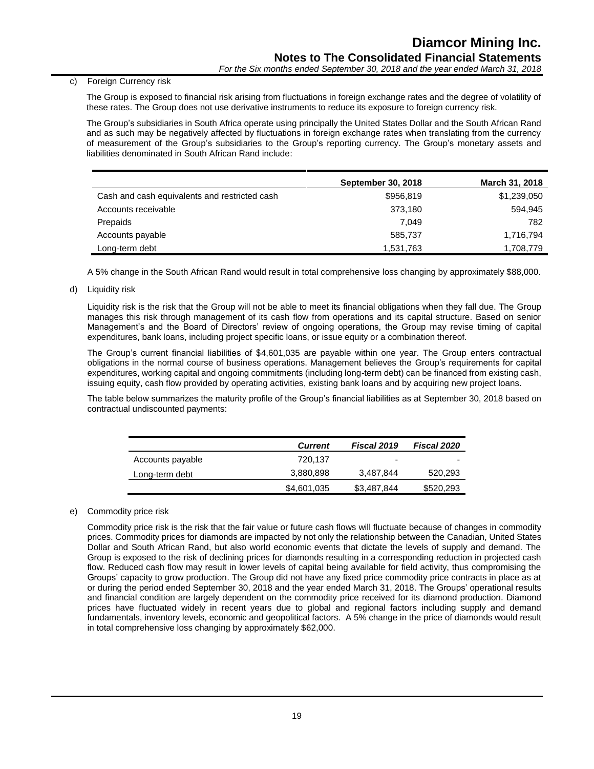# c) Foreign Currency risk

The Group is exposed to financial risk arising from fluctuations in foreign exchange rates and the degree of volatility of these rates. The Group does not use derivative instruments to reduce its exposure to foreign currency risk.

The Group's subsidiaries in South Africa operate using principally the United States Dollar and the South African Rand and as such may be negatively affected by fluctuations in foreign exchange rates when translating from the currency of measurement of the Group's subsidiaries to the Group's reporting currency. The Group's monetary assets and liabilities denominated in South African Rand include:

|                                               | <b>September 30, 2018</b> | <b>March 31, 2018</b> |
|-----------------------------------------------|---------------------------|-----------------------|
| Cash and cash equivalents and restricted cash | \$956,819                 | \$1,239,050           |
| Accounts receivable                           | 373,180                   | 594,945               |
| Prepaids                                      | 7.049                     | 782                   |
| Accounts payable                              | 585,737                   | 1,716,794             |
| Long-term debt                                | 1,531,763                 | 1,708,779             |

A 5% change in the South African Rand would result in total comprehensive loss changing by approximately \$88,000.

d) Liquidity risk

Liquidity risk is the risk that the Group will not be able to meet its financial obligations when they fall due. The Group manages this risk through management of its cash flow from operations and its capital structure. Based on senior Management's and the Board of Directors' review of ongoing operations, the Group may revise timing of capital expenditures, bank loans, including project specific loans, or issue equity or a combination thereof.

The Group's current financial liabilities of \$4,601,035 are payable within one year. The Group enters contractual obligations in the normal course of business operations. Management believes the Group's requirements for capital expenditures, working capital and ongoing commitments (including long-term debt) can be financed from existing cash, issuing equity, cash flow provided by operating activities, existing bank loans and by acquiring new project loans.

The table below summarizes the maturity profile of the Group's financial liabilities as at September 30, 2018 based on contractual undiscounted payments:

|                  | <b>Current</b> | Fiscal 2019 | <b>Fiscal 2020</b> |
|------------------|----------------|-------------|--------------------|
| Accounts payable | 720.137        | -           |                    |
| Long-term debt   | 3,880,898      | 3,487,844   | 520,293            |
|                  | \$4,601,035    | \$3,487,844 | \$520,293          |

# e) Commodity price risk

Commodity price risk is the risk that the fair value or future cash flows will fluctuate because of changes in commodity prices. Commodity prices for diamonds are impacted by not only the relationship between the Canadian, United States Dollar and South African Rand, but also world economic events that dictate the levels of supply and demand. The Group is exposed to the risk of declining prices for diamonds resulting in a corresponding reduction in projected cash flow. Reduced cash flow may result in lower levels of capital being available for field activity, thus compromising the Groups' capacity to grow production. The Group did not have any fixed price commodity price contracts in place as at or during the period ended September 30, 2018 and the year ended March 31, 2018. The Groups' operational results and financial condition are largely dependent on the commodity price received for its diamond production. Diamond prices have fluctuated widely in recent years due to global and regional factors including supply and demand fundamentals, inventory levels, economic and geopolitical factors. A 5% change in the price of diamonds would result in total comprehensive loss changing by approximately \$62,000.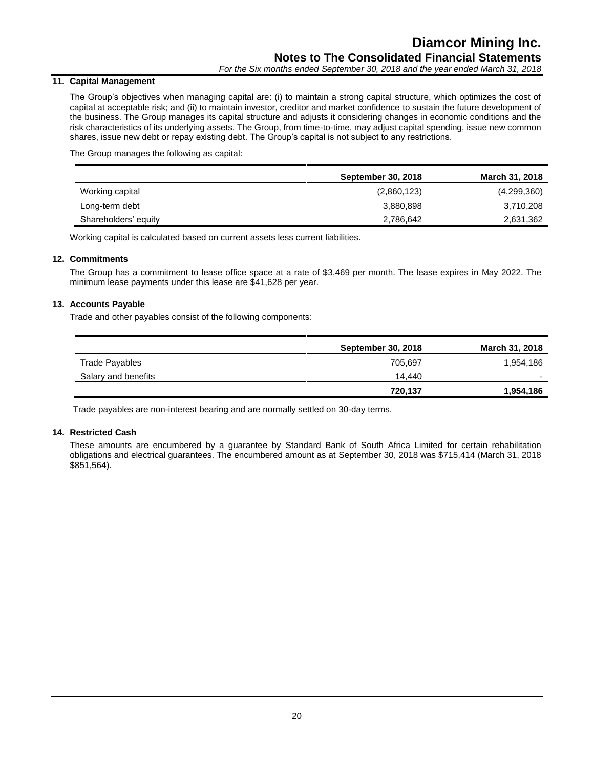# **11. Capital Management**

The Group's objectives when managing capital are: (i) to maintain a strong capital structure, which optimizes the cost of capital at acceptable risk; and (ii) to maintain investor, creditor and market confidence to sustain the future development of the business. The Group manages its capital structure and adjusts it considering changes in economic conditions and the risk characteristics of its underlying assets. The Group, from time-to-time, may adjust capital spending, issue new common shares, issue new debt or repay existing debt. The Group's capital is not subject to any restrictions.

The Group manages the following as capital:

|                      | <b>September 30, 2018</b> | March 31, 2018 |
|----------------------|---------------------------|----------------|
| Working capital      | (2,860,123)               | (4,299,360)    |
| Long-term debt       | 3,880,898                 | 3,710,208      |
| Shareholders' equity | 2,786,642                 | 2,631,362      |

Working capital is calculated based on current assets less current liabilities.

# **12. Commitments**

The Group has a commitment to lease office space at a rate of \$3,469 per month. The lease expires in May 2022. The minimum lease payments under this lease are \$41,628 per year.

# **13. Accounts Payable**

Trade and other payables consist of the following components:

|                     | <b>September 30, 2018</b> | <b>March 31, 2018</b> |
|---------------------|---------------------------|-----------------------|
| Trade Payables      | 705.697                   | 1,954,186             |
| Salary and benefits | 14.440                    |                       |
|                     | 720,137                   | 1,954,186             |

Trade payables are non-interest bearing and are normally settled on 30-day terms.

# **14. Restricted Cash**

These amounts are encumbered by a guarantee by Standard Bank of South Africa Limited for certain rehabilitation obligations and electrical guarantees. The encumbered amount as at September 30, 2018 was \$715,414 (March 31, 2018 \$851,564).